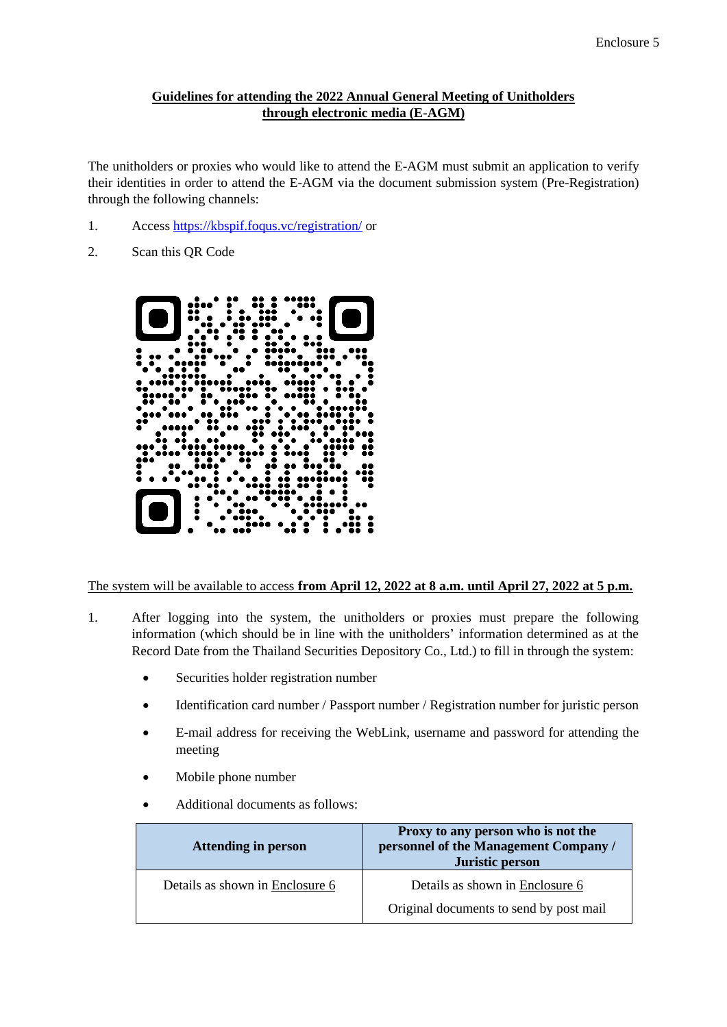## **Guidelines for attending the 2022 Annual General Meeting of Unitholders through electronic media (E-AGM)**

The unitholders or proxies who would like to attend the E-AGM must submit an application to verify their identities in order to attend the E-AGM via the document submission system (Pre-Registration) through the following channels:

- 1. Access<https://kbspif.foqus.vc/registration/> or
- 2. Scan this QR Code



The system will be available to access **from April 12, 2022 at 8 a.m. until April 27, 2022 at 5 p.m.**

- 1. After logging into the system, the unitholders or proxies must prepare the following information (which should be in line with the unitholders' information determined as at the Record Date from the Thailand Securities Depository Co., Ltd.) to fill in through the system:
	- Securities holder registration number
	- Identification card number / Passport number / Registration number for juristic person
	- E-mail address for receiving the WebLink, username and password for attending the meeting
	- Mobile phone number
	- Additional documents as follows:

| Proxy to any person who is not the<br>personnel of the Management Company /<br><b>Juristic person</b> |
|-------------------------------------------------------------------------------------------------------|
| Details as shown in Enclosure 6<br>Original documents to send by post mail                            |
|                                                                                                       |